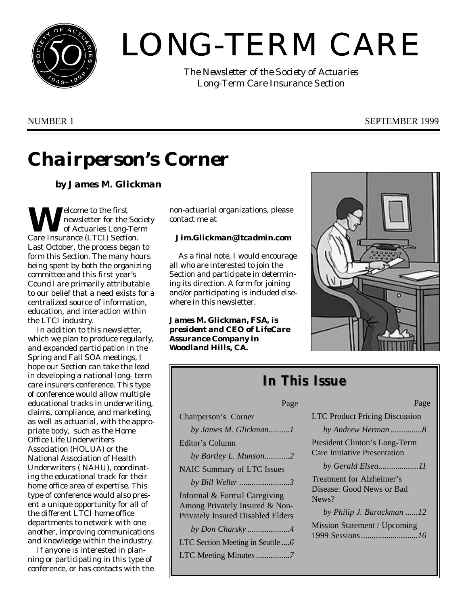

# LONG-TERM CARE

*The Newsletter of the Society of Actuaries Long-Term Care Insurance Section*

## NUMBER 1 SEPTEMBER 1999

## *Chairperson's Corner*

## *by James M. Glickman*

**W**elcome to the first<br>
of Actuaries Long-Ter<br>
Care Insurance (LTCI) Section. elcome to the first newsletter for the Society of Actuaries Long-Term Last October, the process began to form this Section. The many hours being spent by both the organizing committee and this first year's Council are primarily attributable to our belief that a need exists for a centralized source of information, education, and interaction within the LTCI industry.

In addition to this newsletter, which we plan to produce regularly, and expanded participation in the Spring and Fall SOA meetings, I hope our Section can take the lead in developing a national long- term care insurers conference. This type of conference would allow multiple educational tracks in underwriting, claims, compliance, and marketing, as well as actuarial, with the appropriate body, such as the Home Office Life Underwriters Association (HOLUA) or the National Association of Health Underwriters ( NAHU), coordinating the educational track for their home office area of expertise. This type of conference would also present a unique opportunity for all of the different LTCI home office departments to network with one another, improving communications and knowledge within the industry.

If anyone is interested in planning or participating in this type of conference, or has contacts with the non-actuarial organizations, please contact me at

### *Jim.Glickman@ltcadmin.com*

As a final note, I would encourage all who are interested to join the Section and participate in determining its direction. A form for joining and/or participating is included elsewhere in this newsletter.

*James M. Glickman, FSA, is president and CEO of LifeCare Assurance Company in Woodland Hills, CA.*



## *In This Issue*

| Page                                                                                                       |
|------------------------------------------------------------------------------------------------------------|
| Chairperson's Corner                                                                                       |
| by James M. Glickman1                                                                                      |
| Editor's Column                                                                                            |
| by Bartley L. Munson2                                                                                      |
| <b>NAIC Summary of LTC Issues</b>                                                                          |
| by Bill Weller 3                                                                                           |
| Informal & Formal Caregiving<br>Among Privately Insured & Non-<br><b>Privately Insured Disabled Elders</b> |
| by Don Charsky4                                                                                            |
| LTC Section Meeting in Seattle6                                                                            |
|                                                                                                            |

| <b>LTC Product Pricing Discussion</b>                                |
|----------------------------------------------------------------------|
| by Andrew Herman 8                                                   |
| President Clinton's Long-Term<br><b>Care Initiative Presentation</b> |
| by Gerald Elsea11                                                    |
| Treatment for Alzheimer's<br>Disease: Good News or Bad<br>$News$ ?   |
| by Philip J. Barackman 12                                            |
| Mission Statement / Upcoming                                         |

 $P_{90}$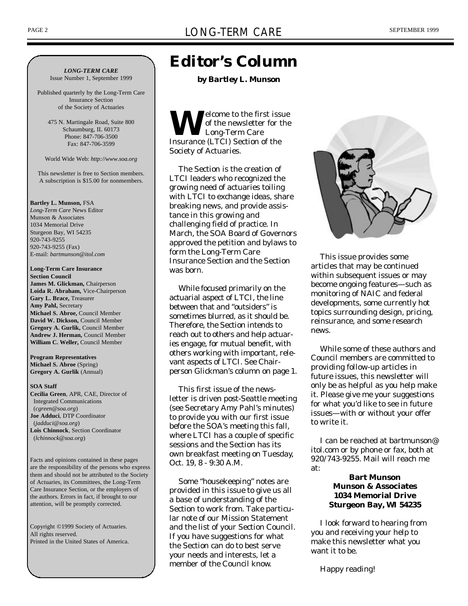*LONG-TERM CARE*

Issue Number 1, September 1999

Published quarterly by the Long-Term Care Insurance Section of the Society of Actuaries

475 N. Martingale Road, Suite 800 Schaumburg, IL 60173 Phone: 847-706-3500 Fax: 847-706-3599

World Wide Web: *http://www.soa.org*

This newsletter is free to Section members. A subscription is \$15.00 for nonmembers.

#### **Bartley L. Munson,** FSA

*Long-Term Care* News Editor Munson & Associates 1034 Memorial Drive Sturgeon Bay, WI 54235 920-743-9255 920-743-9255 (Fax) E-mail: *bartmunson@itol.com*

#### **Long-Term Care Insurance Section Council**

**James M. Glickman,** Chairperson **Loida R. Abraham,** Vice-Chairperson **Gary L. Brace,** Treasurer **Amy Pahl,** Secretary **Michael S. Abroe,** Council Member **David W. Dickson,** Council Member **Gregory A. Gurlik,** Council Member **Andrew J. Herman,** Council Member **William C. Weller,** Council Member

**Program Representatives Michael S. Abroe** (Spring) **Gregory A. Gurlik** (Annual)

#### **SOA Staff**

**Cecilia Green**, APR, CAE, Director of Integrated Communications (*cgreen@soa.org*) **Joe Adduci**, DTP Coordinator (*jadduci@soa.org*) **Lois Chinnock**, Section Coordinator (*lchinnock@soa.org*)

Facts and opinions contained in these pages are the responsibility of the persons who express them and should not be attributed to the Society of Actuaries, its Committees, the Long-Term Care Insurance Section, or the employers of the authors. Errors in fact, if brought to our attention, will be promptly corrected.

Copyright ©1999 Society of Actuaries. All rights reserved. Printed in the United States of America.

## *Editor's Column*

*by Bartley L. Munson*

**W** elcome to the first iss<br>
Insurance (LTCI) Section of the elcome to the first issue of the newsletter for the Long-Term Care Society of Actuaries.

The Section is the creation of LTCI leaders who recognized the growing need of actuaries toiling with LTCI to exchange ideas, share breaking news, and provide assistance in this growing and challenging field of practice. In March, the SOA Board of Governors approved the petition and bylaws to form the Long-Term Care Insurance Section and the Section was born.

While focused primarily on the actuarial aspect of LTCI, the line between that and "outsiders" is sometimes blurred, as it should be. Therefore, the Section intends to reach out to others and help actuaries engage, for mutual benefit, with others working with important, relevant aspects of LTCI. See Chairperson Glickman's column on page 1.

This first issue of the newsletter is driven post-Seattle meeting (see Secretary Amy Pahl's minutes) to provide you with our first issue before the SOA's meeting this fall, where LTCI has a couple of specific sessions and the Section has its own breakfast meeting on Tuesday, Oct. 19, 8 - 9:30 A.M.

Some "housekeeping" notes are provided in this issue to give us all a base of understanding of the Section to work from. Take particular note of our Mission Statement and the list of your Section Council. If you have suggestions for what the Section can do to best serve your needs and interests, let a member of the Council know.



This issue provides some articles that may be continued within subsequent issues or may become ongoing features—such as monitoring of NAIC and federal developments, some currently hot topics surrounding design, pricing, reinsurance, and some research news.

While some of these authors and Council members are committed to providing follow-up articles in future issues, this newsletter will only be as helpful as you help make it. Please give me your suggestions for what you'd like to see in future issues—with or without your offer to write it.

I can be reached at *bartmunson@ itol.com* or by phone or fax, both at 920/743-9255. Mail will reach me at:

### **Bart Munson Munson & Associates 1034 Memorial Drive Sturgeon Bay, WI 54235**

I look forward to hearing from you and receiving your help to make this newsletter what you want it to be.

Happy reading!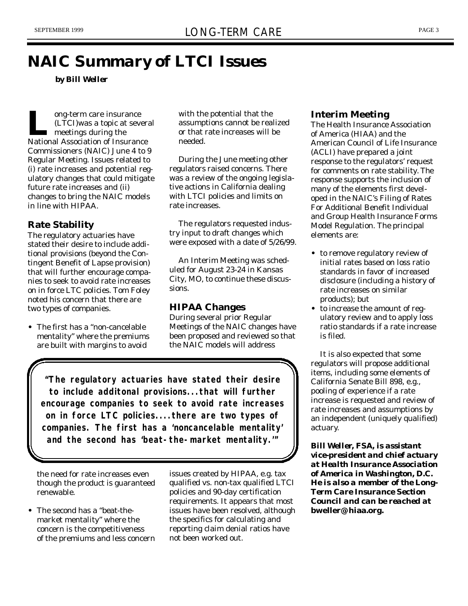## *NAIC Summary of LTCI Issues*

*by Bill Weller*

**LACTE CONTERNATION OF STARK OF THE MANUS OF INSURANCE NATIONAL NATIONAL REPORT OF INSURANCE NATIONAL ASSOCIATION OF INSURANCE NAME OF THE NATIONAL REPORT OF INSURANCE NAME OF THE NAME OF THE NAME OF THE NAME OF THE NAME O** ong-term care insurance (LTCI)was a topic at several **n** meetings during the Commissioners (NAIC) June 4 to 9 Regular Meeting. Issues related to (i) rate increases and potential regulatory changes that could mitigate future rate increases and (ii) changes to bring the NAIC models in line with HIPAA.

## **Rate Stability**

The regulatory actuaries have stated their desire to include additional provisions (beyond the Contingent Benefit of Lapse provision) that will further encourage companies to seek to avoid rate increases on in force LTC policies. Tom Foley noted his concern that there are two types of companies.

**•** The first has a "non-cancelable mentality" where the premiums are built with margins to avoid

with the potential that the assumptions cannot be realized or that rate increases will be needed.

During the June meeting other regulators raised concerns. There was a review of the ongoing legislative actions in California dealing with LTCI policies and limits on rate increases.

The regulators requested industry input to draft changes which were exposed with a date of 5/26/99.

An Interim Meeting was scheduled for August 23-24 in Kansas City, MO, to continue these discussions.

## **HIPAA Changes**

During several prior Regular Meetings of the NAIC changes have been proposed and reviewed so that the NAIC models will address

*"The regulatory actuaries have stated their desire to include additonal provisions...that will further encourage companies to seek to avoid rate increases on in force LTC policies....there are two types of companies. The first has a 'noncancelable mentality' and the second has 'beat-the-market mentality.'"*

the need for rate increases even though the product is guaranteed renewable.

**•** The second has a "beat-themarket mentality" where the concern is the competitiveness of the premiums and less concern issues created by HIPAA, e.g. tax qualified vs. non-tax qualified LTCI policies and 90-day certification requirements. It appears that most issues have been resolved, although the specifics for calculating and reporting claim denial ratios have not been worked out.

## **Interim Meeting**

The Health Insurance Association of America (HIAA) and the American Council of Life Insurance (ACLI) have prepared a joint response to the regulators' request for comments on rate stability. The response supports the inclusion of many of the elements first developed in the NAIC's Filing of Rates For Additional Benefit Individual and Group Health Insurance Forms Model Regulation. The principal elements are:

- **•** to remove regulatory review of initial rates based on loss ratio standards in favor of increased disclosure (including a history of rate increases on similar products); but
- **•** to increase the amount of regulatory review and to apply loss ratio standards if a rate increase is filed.

It is also expected that some regulators will propose additional items, including some elements of California Senate Bill 898, e.g., pooling of experience if a rate increase is requested and review of rate increases and assumptions by an independent (uniquely qualified) actuary.

*Bill Weller, FSA, is assistant vice-president and chief actuary at Health Insurance Association of America in Washington, D.C. He is also a member of the Long-Term Care Insurance Section Council and can be reached at* **bweller@ hiaa.org.**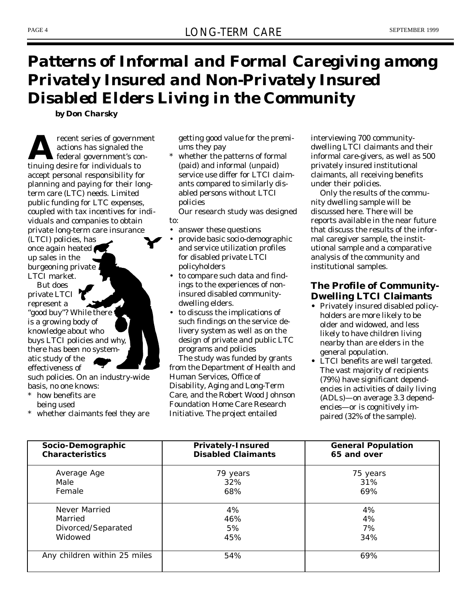## *Patterns of Informal and Formal Caregiving among Privately Insured and Non-Privately Insured Disabled Elders Living in the Community*

*by Don Charsky*

**A**<br> **A** federal government's co<br>
tinuing desire for individuals to recent series of government actions has signaled the federal government's conaccept personal responsibility for planning and paying for their longterm care (LTC) needs. Limited public funding for LTC expenses, coupled with tax incentives for individuals and companies to obtain private long-term care insurance (LTCI) policies, has once again heated up sales in the burgeoning private LTCI market.

But does private LTCI represent a "good buy"? While there is a growing body of knowledge about who buys LTCI policies and why, there has been no systematic study of the effectiveness of

such policies. On an industry-wide basis, no one knows:

- how benefits are being used
- \* whether claimants feel they are

getting good value for the premiums they pay

whether the patterns of formal (paid) and informal (unpaid) service use differ for LTCI claimants compared to similarly disabled persons without LTCI policies

Our research study was designed to:

- answer these questions
- provide basic socio-demographic and service utilization profiles for disabled private LTCI policyholders
- to compare such data and findings to the experiences of noninsured disabled communitydwelling elders.
- to discuss the implications of such findings on the service delivery system as well as on the design of private and public LTC programs and policies

The study was funded by grants from the Department of Health and Human Services, Office of Disability, Aging and Long-Term Care, and the Robert Wood Johnson Foundation Home Care Research Initiative. The project entailed

interviewing 700 communitydwelling LTCI claimants and their informal care-givers, as well as 500 privately insured institutional claimants, all receiving benefits under their policies.

Only the results of the community dwelling sample will be discussed here. There will be reports available in the near future that discuss the results of the informal caregiver sample, the institutional sample and a comparative analysis of the community and institutional samples.

## **The Profile of Community-Dwelling LTCI Claimants**

- **•** Privately insured disabled policyholders are more likely to be older and widowed, and less likely to have children living nearby than are elders in the general population.
- **•** LTCI benefits are well targeted. The vast majority of recipients (79%) have significant dependencies in activities of daily living (ADLs)—on average 3.3 dependencies—or is cognitively impaired (32% of the sample).

| Socio-Demographic            | <b>Privately-Insured</b>  | <b>General Population</b> |
|------------------------------|---------------------------|---------------------------|
| <b>Characteristics</b>       | <b>Disabled Claimants</b> | 65 and over               |
| Average Age                  | 79 years                  | 75 years                  |
| Male                         | 32%                       | 31%                       |
| Female                       | 68%                       | 69%                       |
| Never Married                | 4%                        | 4%                        |
| Married                      | 46%                       | 4%                        |
| Divorced/Separated           | 5%                        | 7%                        |
| Widowed                      | 45%                       | 34%                       |
| Any children within 25 miles | 54%                       | 69%                       |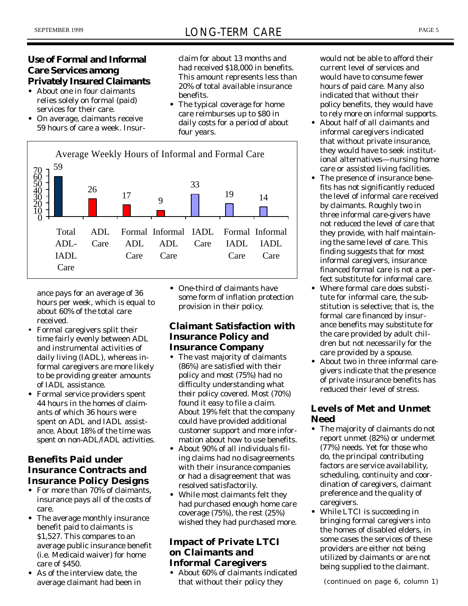## **Use of Formal and Informal Care Services among Privately Insured Claimants**

- **•** About one in four claimants relies solely on formal (paid) services for their care.
- **•** On average, claimants receive 59 hours of care a week. Insur-

claim for about 13 months and had received \$18,000 in benefits. This amount represents less than 20% of total available insurance benefits.

**•** The typical coverage for home care reimburses up to \$80 in daily costs for a period of about four years.



ance pays for an average of 36 hours per week, which is equal to about 60% of the total care received.

- Formal caregivers split their time fairly evenly between ADL and instrumental activities of daily living (IADL), whereas informal caregivers are more likely to be providing greater amounts of IADL assistance.
- **•** Formal service providers spent 44 hours in the homes of claimants of which 36 hours were spent on ADL and IADL assistance. About 18% of the time was spent on non-ADL/IADL activities.

## **Benefits Paid under Insurance Contracts and Insurance Policy Designs**

- **•** For more than 70% of claimants, insurance pays all of the costs of care.
- **•** The average monthly insurance benefit paid to claimants is \$1,527. This compares to an average public insurance benefit (i.e. Medicaid waiver) for home care of \$450.
- **•** As of the interview date, the average claimant had been in

**•** One-third of claimants have some form of inflation protection provision in their policy.

## **Claimant Satisfaction with Insurance Policy and Insurance Company**

- **•** The vast majority of claimants (86%) are satisfied with their policy and most (75%) had no difficulty understanding what their policy covered. Most (70%) found it easy to file a claim. About 19% felt that the company could have provided additional customer support and more information about how to use benefits.
- **•** About 90% of all individuals filing claims had no disagreements with their insurance companies or had a disagreement that was resolved satisfactorily.
- **•** While most claimants felt they had purchased enough home care coverage (75%), the rest (25%) wished they had purchased more.

## **Impact of Private LTCI on Claimants and Informal Caregivers**

**•** About 60% of claimants indicated that without their policy they

would not be able to afford their current level of services and would have to consume fewer hours of paid care. Many also indicated that without their policy benefits, they would have to rely more on informal supports.

- **•** About half of all claimants and informal caregivers indicated that without private insurance, they would have to seek institutional alternatives—nursing home care or assisted living facilities.
- **•** The presence of insurance benefits has not significantly reduced the level of informal care received by claimants. Roughly two in three informal care-givers have not reduced the level of care that they provide, with half maintaining the same level of care. This finding suggests that for most informal caregivers, insurance financed formal care is not a perfect substitute for informal care.
- **•** Where formal care does substitute for informal care, the substitution is selective; that is, the formal care financed by insurance benefits may substitute for the care provided by adult children but not necessarily for the care provided by a spouse.
- **•** About two in three informal caregivers indicate that the presence of private insurance benefits has reduced their level of stress.

## **Levels of Met and Unmet Need**

- **•** The majority of claimants do not report unmet (82%) or undermet (77%) needs. Yet for those who do, the principal contributing factors are service availability, scheduling, continuity and coordination of caregivers, claimant preference and the quality of caregivers.
- **•** While LTCI is succeeding in bringing formal caregivers into the homes of disabled elders, in some cases the services of these providers are either not being utilized by claimants or are not being supplied to the claimant.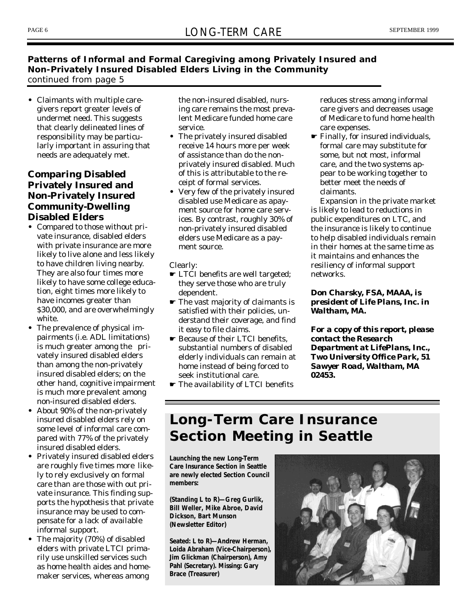## **Patterns of Informal and Formal Caregiving among Privately Insured and Non-Privately Insured Disabled Elders Living in the Community** *continued from page 5*

**•** Claimants with multiple caregivers report greater levels of undermet need. This suggests that clearly delineated lines of responsibility may be particularly important in assuring that needs are adequately met.

## **Comparing Disabled Privately Insured and Non-Privately Insured Community-Dwelling Disabled Elders**

- **•** Compared to those without private insurance, disabled elders with private insurance are more likely to live alone and less likely to have children living nearby. They are also four times more likely to have some college education, eight times more likely to have incomes greater than \$30,000, and are overwhelmingly white.
- **•** The prevalence of physical impairments (i.e. ADL limitations) is much greater among the privately insured disabled elders than among the non-privately insured disabled elders; on the other hand, cognitive impairment is much more prevalent among non-insured disabled elders.
- **•** About 90% of the non-privately insured disabled elders rely on some level of informal care compared with 77% of the privately insured disabled elders.
- **•** Privately insured disabled elders are roughly five times more likely to rely exclusively on formal care than are those with out private insurance. This finding supports the hypothesis that private insurance may be used to compensate for a lack of available informal support.
- **•** The majority (70%) of disabled elders with private LTCI primarily use unskilled services such as home health aides and homemaker services, whereas among

the non-insured disabled, nursing care remains the most prevalent Medicare funded home care service.

- **•** The privately insured disabled receive 14 hours more per week of assistance than do the nonprivately insured disabled. Much of this is attributable to the receipt of formal services.
- **•** Very few of the privately insured disabled use Medicare as apayment source for home care services. By contrast, roughly 30% of non-privately insured disabled elders use Medicare as a payment source.

Clearly:

- ☛ LTCI benefits are well targeted; they serve those who are truly dependent.
- ☛ The vast majority of claimants is satisfied with their policies, understand their coverage, and find it easy to file claims.
- ☛ Because of their LTCI benefits, substantial numbers of disabled elderly individuals can remain at home instead of being forced to seek institutional care.
- ☛ The availability of LTCI benefits

reduces stress among informal care givers and decreases usage of Medicare to fund home health care expenses.

☛ Finally, for insured individuals, formal care may substitute for some, but not most, informal care, and the two systems appear to be working together to better meet the needs of claimants.

Expansion in the private market is likely to lead to reductions in public expenditures on LTC, and the insurance is likely to continue to help disabled individuals remain in their homes at the same time as it maintains and enhances the resiliency of informal support networks.

### *Don Charsky, FSA, MAAA, is president of Life Plans, Inc. in Waltham, MA.*

*For a copy of this report, please contact the Research Department at LifePlans, Inc., Two University Office Park, 51 Sawyer Road, Waltham, MA 02453.*

## *Long-Term Care Insurance Section Meeting in Seattle*

*Launching the new Long-Term Care Insurance Section in Seattle are newly elected Section Council members:*

*(Standing L to R)—Greg Gurlik, Bill Weller, Mike Abroe, David Dickson, Bart Munson (Newsletter Editor)*

*Seated: L to R)—Andrew Herman, Loida Abraham (Vice-Chairperson), Jim Glickman (Chairperson), Amy Pahl (Secretary). Missing: Gary Brace (Treasurer)*

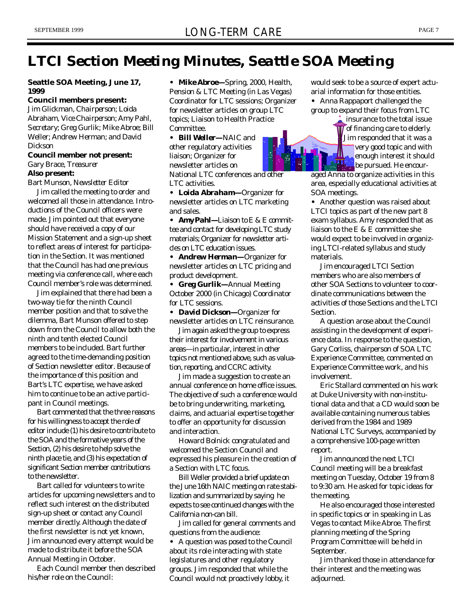## *LTCI Section Meeting Minutes, Seattle SOA Meeting*

#### **Seattle SOA Meeting, June 17, 1999**

**Council members present:** Jim Glickman, *Chairperson*; Loida Abraham, *Vice Chairperson*; Amy Pahl, *Secretary*; Greg Gurlik; Mike Abroe; Bill Weller; Andrew Herman; and David Dickson

#### **Council member not present:** Gary Brace, *Treasurer*

#### **Also present:**

Bart Munson, *Newsletter Editor*

Jim called the meeting to order and welcomed all those in attendance. Introductions of the Council officers were made. Jim pointed out that everyone should have received a copy of our Mission Statement and a sign-up sheet to reflect areas of interest for participation in the Section. It was mentioned that the Council has had one previous meeting via conference call, where each Council member's role was determined.

Jim explained that there had been a two-way tie for the ninth Council member position and that to solve the dilemma, Bart Munson offered to step down from the Council to allow both the ninth and tenth elected Council members to be included. Bart further agreed to the time-demanding position of Section newsletter editor. Because of the importance of this position and Bart's LTC expertise, we have asked him to continue to be an active participant in Council meetings.

Bart commented that the three reasons for his willingness to accept the role of editor include (1) his desire to contribute to the SOA and the formative years of the Section, (2) his desire to help solve the ninth place tie, and (3) his expectation of significant Section member contributions to the newsletter.

Bart called for volunteers to write articles for upcoming newsletters and to reflect such interest on the distributed sign-up sheet or contact any Council member directly. Although the date of the first newsletter is not yet known, Jim announced every attempt would be made to distribute it before the SOA Annual Meeting in October.

Each Council member then described his/her role on the Council:

*• Mike Abroe—*Spring, 2000, Health, Pension & LTC Meeting (in Las Vegas) Coordinator for LTC sessions; Organizer for newsletter articles on group LTC topics; Liaison to Health Practice **Committee** 

*• Bill Weller—*NAIC and other regulatory activities liaison; Organizer for newsletter articles on National LTC conferences and other LTC activities.

*• Loida Abraham—*Organizer for newsletter articles on LTC marketing and sales.

*• Amy Pahl—*Liaison to E & E committee and contact for developing LTC study materials; Organizer for newsletter articles on LTC education issues.

*• Andrew Herman—*Organizer for newsletter articles on LTC pricing and product development.

*• Greg Gurlik—*Annual Meeting October 2000 (in Chicago) Coordinator for LTC sessions.

*• David Dickson—*Organizer for newsletter articles on LTC reinsurance.

Jim again asked the group to express their interest for involvement in various areas—in particular, interest in other topics not mentioned above, such as valuation, reporting, and CCRC activity.

Jim made a suggestion to create an annual conference on home office issues. The objective of such a conference would be to bring underwriting, marketing, claims, and actuarial expertise together to offer an opportunity for discussion and interaction.

Howard Bolnick congratulated and welcomed the Section Council and expressed his pleasure in the creation of a Section with LTC focus.

Bill Weller provided a brief update on the June 16th NAIC meeting on rate stabilization and summarized by saying he expects to see continued changes with the California non-can bill.

Jim called for general comments and questions from the audience:

**•** A question was posed to the Council about its role interacting with state legislatures and other regulatory groups. Jim responded that while the Council would not proactively lobby, it

would seek to be a source of expert actuarial information for those entities. **•** Anna Rappaport challenged the group to expand their focus from LTC

> insurance to the total issue of financing care to elderly. Jim responded that it was a very good topic and with enough interest it should be pursued. He encour-

aged Anna to organize activities in this area, especially educational activities at SOA meetings.

**•** Another question was raised about LTCI topics as part of the new part 8 exam syllabus. Amy responded that as liaison to the E & E committee she would expect to be involved in organizing LTCI-related syllabus and study materials.

Jim encouraged LTCI Section members who are also members of other SOA Sections to volunteer to coordinate communications between the activities of those Sections and the LTCI **Section** 

A question arose about the Council assisting in the development of experience data. In response to the question, Gary Corliss, chairperson of SOA LTC Experience Committee, commented on Experience Committee work, and his involvement.

Eric Stallard commented on his work at Duke University with non-institutional data and that a CD would soon be available containing numerous tables derived from the 1984 and 1989 National LTC Surveys, accompanied by a comprehensive 100-page written report.

Jim announced the next LTCI Council meeting will be a breakfast meeting on Tuesday, October 19 from 8 to 9:30 am. He asked for topic ideas for the meeting.

He also encouraged those interested in specific topics or in speaking in Las Vegas to contact Mike Abroe. The first planning meeting of the Spring Program Committee will be held in September.

Jim thanked those in attendance for their interest and the meeting was adjourned.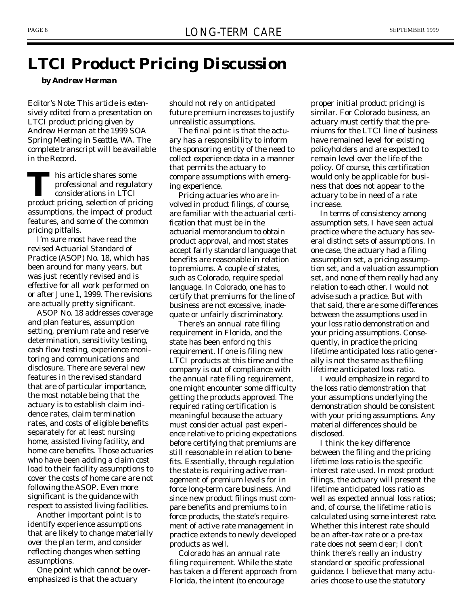## *LTCI Product Pricing Discussion*

*by Andrew Herman*

*Editor's Note: This article is extensively edited from a presentation on LTCI product pricing given by Andrew Herman at the 1999 SOA Spring Meeting in Seattle, WA. The complete transcript will be available in the Record.*

THE professional and regulatory<br>
professional and regulatory<br>
product pricing, selection of pricing his article shares some professional and regulatory considerations in LTCI assumptions, the impact of product features, and some of the common pricing pitfalls.

I'm sure most have read the revised Actuarial Standard of Practice (ASOP) No. 18, which has been around for many years, but was just recently revised and is effective for all work performed on or after June 1, 1999. The revisions are actually pretty significant.

ASOP No. 18 addresses coverage and plan features, assumption setting, premium rate and reserve determination, sensitivity testing, cash flow testing, experience monitoring and communications and disclosure. There are several new features in the revised standard that are of particular importance, the most notable being that the actuary is to establish claim incidence rates, claim termination rates, and costs of eligible benefits separately for at least nursing home, assisted living facility, and home care benefits. Those actuaries who have been adding a claim cost load to their facility assumptions to cover the costs of home care are not following the ASOP. Even more significant is the guidance with respect to assisted living facilities.

Another important point is to identify experience assumptions that are likely to change materially over the plan term, and consider reflecting changes when setting assumptions.

One point which cannot be overemphasized is that the actuary

should not rely on anticipated future premium increases to justify unrealistic assumptions.

The final point is that the actuary has a responsibility to inform the sponsoring entity of the need to collect experience data in a manner that permits the actuary to compare assumptions with emerging experience.

Pricing actuaries who are involved in product filings, of course, are familiar with the actuarial certification that must be in the actuarial memorandum to obtain product approval, and most states accept fairly standard language that benefits are reasonable in relation to premiums. A couple of states, such as Colorado, require special language. In Colorado, one has to certify that premiums for the line of business are not excessive, inadequate or unfairly discriminatory.

There's an annual rate filing requirement in Florida, and the state has been enforcing this requirement. If one is filing new LTCI products at this time and the company is out of compliance with the annual rate filing requirement, one might encounter some difficulty getting the products approved. The required rating certification is meaningful because the actuary must consider actual past experience relative to pricing expectations before certifying that premiums are still reasonable in relation to benefits. Essentially, through regulation the state is requiring active management of premium levels for in force long-term care business. And since new product filings must compare benefits and premiums to in force products, the state's requirement of active rate management in practice extends to newly developed products as well.

Colorado has an annual rate filing requirement. While the state has taken a different approach from Florida, the intent (to encourage

proper initial product pricing) is similar. For Colorado business, an actuary must certify that the premiums for the LTCI line of business have remained level for existing policyholders and are expected to remain level over the life of the policy. Of course, this certification would only be applicable for business that does not appear to the actuary to be in need of a rate increase.

In terms of consistency among assumption sets, I have seen actual practice where the actuary has several distinct sets of assumptions. In one case, the actuary had a filing assumption set, a pricing assumption set, and a valuation assumption set, and none of them really had any relation to each other. I would not advise such a practice. But with that said, there are some differences between the assumptions used in your loss ratio demonstration and your pricing assumptions. Consequently, in practice the pricing lifetime anticipated loss ratio generally is not the same as the filing lifetime anticipated loss ratio.

I would emphasize in regard to the loss ratio demonstration that your assumptions underlying the demonstration should be consistent with your pricing assumptions. Any material differences should be disclosed.

I think the key difference between the filing and the pricing lifetime loss ratio is the specific interest rate used. In most product filings, the actuary will present the lifetime anticipated loss ratio as well as expected annual loss ratios; and, of course, the lifetime ratio is calculated using some interest rate. Whether this interest rate should be an after-tax rate or a pre-tax rate does not seem clear; I don't think there's really an industry standard or specific professional guidance. I believe that many actuaries choose to use the statutory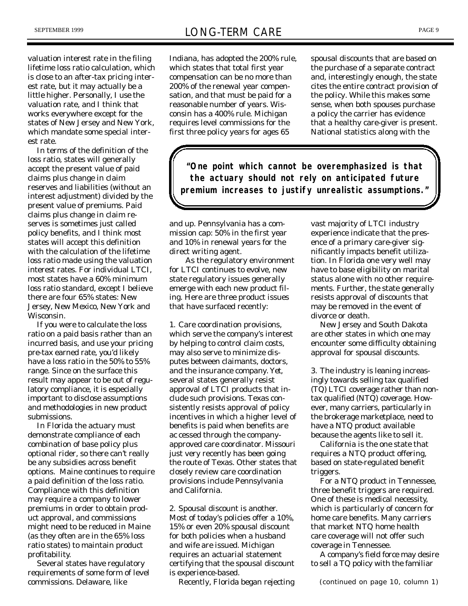valuation interest rate in the filing lifetime loss ratio calculation, which is close to an after-tax pricing interest rate, but it may actually be a little higher. Personally, I use the valuation rate, and I think that works everywhere except for the states of New Jersey and New York, which mandate some special interest rate.

In terms of the definition of the loss ratio, states will generally accept the present value of paid claims plus change in claim reserves and liabilities (without an interest adjustment) divided by the present value of premiums. Paid claims plus change in claim reserves is sometimes just called policy benefits, and I think most states will accept this definition with the calculation of the lifetime loss ratio made using the valuation interest rates. For individual LTCI, most states have a 60% minimum loss ratio standard, except I believe there are four 65% states: New Jersey, New Mexico, New York and Wisconsin.

If you were to calculate the loss ratio on a paid basis rather than an incurred basis, and use your pricing pre-tax earned rate, you'd likely have a loss ratio in the 50% to 55% range. Since on the surface this result may appear to be out of regulatory compliance, it is especially important to disclose assumptions and methodologies in new product submissions.

In Florida the actuary must demonstrate compliance of each combination of base policy plus optional rider, so there can't really be any subsidies across benefit options. Maine continues to require a paid definition of the loss ratio. Compliance with this definition may require a company to lower premiums in order to obtain product approval, and commissions might need to be reduced in Maine (as they often are in the 65% loss ratio states) to maintain product profitability.

Several states have regulatory requirements of some form of level commissions. Delaware, like

Indiana, has adopted the 200% rule, which states that total first year compensation can be no more than 200% of the renewal year compensation, and that must be paid for a reasonable number of years. Wisconsin has a 400% rule. Michigan requires level commissions for the first three policy years for ages 65

spousal discounts that are based on the purchase of a separate contract and, interestingly enough, the state cites the entire contract provision of the policy. While this makes some sense, when both spouses purchase a policy the carrier has evidence that a healthy care-giver is present. National statistics along with the

*"One point which cannot be overemphasized is that the actuary should not rely on anticipated future premium increases to justify unrealistic assumptions."*

and up. Pennsylvania has a commission cap: 50% in the first year and 10% in renewal years for the direct writing agent.

As the regulatory environment for LTCI continues to evolve, new state regulatory issues generally emerge with each new product filing. Here are three product issues that have surfaced recently:

1. Care coordination provisions, which serve the company's interest by helping to control claim costs, may also serve to minimize disputes between claimants, doctors, and the insurance company. Yet, several states generally resist approval of LTCI products that include such provisions. Texas consistently resists approval of policy incentives in which a higher level of benefits is paid when benefits are ac cessed through the companyapproved care coordinator. Missouri just very recently has been going the route of Texas. Other states that closely review care coordination provisions include Pennsylvania and California.

2. Spousal discount is another. Most of today's policies offer a 10%, 15% or even 20% spousal discount for both policies when a husband and wife are issued. Michigan requires an actuarial statement certifying that the spousal discount is experience-based.

Recently, Florida began rejecting

vast majority of LTCI industry experience indicate that the presence of a primary care-giver significantly impacts benefit utilization. In Florida one very well may have to base eligibility on marital status alone with no other requirements. Further, the state generally resists approval of discounts that may be removed in the event of divorce or death.

New Jersey and South Dakota are other states in which one may encounter some difficulty obtaining approval for spousal discounts.

3. The industry is leaning increasingly towards selling tax qualified (TQ) LTCI coverage rather than nontax qualified (NTQ) coverage. However, many carriers, particularly in the brokerage marketplace, need to have a NTQ product available because the agents like to sell it.

California is the one state that requires a NTQ product offering, based on state-regulated benefit triggers.

For a NTQ product in Tennessee, three benefit triggers are required. One of these is medical necessity, which is particularly of concern for home care benefits. Many carriers that market NTQ home health care coverage will not offer such coverage in Tennessee.

A company's field force may desire to sell a TQ policy with the familiar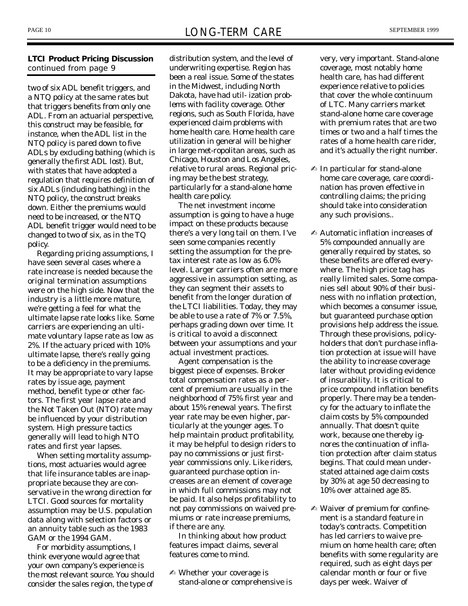### **LTCI Product Pricing Discussion** *continued from page 9*

two of six ADL benefit triggers, and a NTQ policy at the same rates but that triggers benefits from only one ADL. From an actuarial perspective, this construct may be feasible, for instance, when the ADL list in the NTQ policy is pared down to five ADLs by excluding bathing (which is generally the first ADL lost). But, with states that have adopted a regulation that requires definition of six ADLs (including bathing) in the NTQ policy, the construct breaks down. Either the premiums would need to be increased, or the NTQ ADL benefit trigger would need to be changed to two of six, as in the TQ policy.

Regarding pricing assumptions, I have seen several cases where a rate increase is needed because the original termination assumptions were on the high side. Now that the industry is a little more mature, we're getting a feel for what the ultimate lapse rate looks like. Some carriers are experiencing an ultimate voluntary lapse rate as low as 2%. If the actuary priced with 10% ultimate lapse, there's really going to be a deficiency in the premiums. It may be appropriate to vary lapse rates by issue age, payment method, benefit type or other factors. The first year lapse rate and the Not Taken Out (NTO) rate may be influenced by your distribution system. High pressure tactics generally will lead to high NTO rates and first year lapses.

When setting mortality assumptions, most actuaries would agree that life insurance tables are inappropriate because they are conservative in the wrong direction for LTCI. Good sources for mortality assumption may be U.S. population data along with selection factors or an annuity table such as the 1983 GAM or the 1994 GAM.

For morbidity assumptions, I think everyone would agree that your own company's experience is the most relevant source. You should consider the sales region, the type of

distribution system, and the level of underwriting expertise. Region has been a real issue. Some of the states in the Midwest, including North Dakota, have had util- ization problems with facility coverage. Other regions, such as South Florida, have experienced claim problems with home health care. Home health care utilization in general will be higher in large met-ropolitan areas, such as Chicago, Houston and Los Angeles, relative to rural areas. Regional pricing may be the best strategy, particularly for a stand-alone home health care policy.

The net investment income assumption is going to have a huge impact on these products because there's a very long tail on them. I've seen some companies recently setting the assumption for the pretax interest rate as low as 6.0% level. Larger carriers often are more aggressive in assumption setting, as they can segment their assets to benefit from the longer duration of the LTCI liabilities. Today, they may be able to use a rate of 7% or 7.5%, perhaps grading down over time. It is critical to avoid a disconnect between your assumptions and your actual investment practices.

Agent compensation is the biggest piece of expenses. Broker total compensation rates as a percent of premium are usually in the neighborhood of 75% first year and about 15% renewal years. The first year rate may be even higher, particularly at the younger ages. To help maintain product profitability, it may be helpful to design riders to pay no commissions or just firstyear commissions only. Like riders, guaranteed purchase option increases are an element of coverage in which full commissions may not be paid. It also helps profitability to not pay commissions on waived premiums or rate increase premiums, if there are any.

In thinking about how product features impact claims, several features come to mind.

✍ Whether your coverage is stand-alone or comprehensive is very, very important. Stand-alone coverage, most notably home health care, has had different experience relative to policies that cover the whole continuum of LTC. Many carriers market stand-alone home care coverage with premium rates that are two times or two and a half times the rates of a home health care rider, and it's actually the right number.

- ✍ In particular for stand-alone home care coverage, care coordination has proven effective in controlling claims; the pricing should take into consideration any such provisions..
- ✍ Automatic inflation increases of 5% compounded annually are generally required by states, so these benefits are offered everywhere. The high price tag has really limited sales. Some companies sell about 90% of their business with no inflation protection, which becomes a consumer issue, but guaranteed purchase option provisions help address the issue. Through these provisions, policyholders that don't purchase inflation protection at issue will have the ability to increase coverage later without providing evidence of insurability. It is critical to price compound inflation benefits properly. There may be a tendency for the actuary to inflate the claim costs by 5% compounded annually. That doesn't quite work, because one thereby ignores the continuation of inflation protection after claim status begins. That could mean understated attained age claim costs by 30% at age 50 decreasing to 10% over attained age 85.
- ✍ Waiver of premium for confinement is a standard feature in today's contracts. Competition has led carriers to waive premium on home health care; often benefits with some regularity are required, such as eight days per calendar month or four or five days per week. Waiver of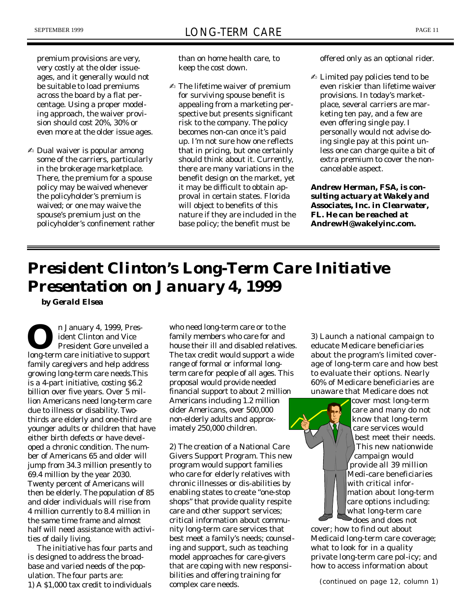premium provisions are very, very costly at the older issueages, and it generally would not be suitable to load premiums across the board by a flat percentage. Using a proper modeling approach, the waiver provision should cost 20%, 30% or even more at the older issue ages.

✍ Dual waiver is popular among some of the carriers, particularly in the brokerage marketplace. There, the premium for a spouse policy may be waived whenever the policyholder's premium is waived; or one may waive the spouse's premium just on the policyholder's confinement rather

than on home health care, to keep the cost down.

✍ The lifetime waiver of premium for surviving spouse benefit is appealing from a marketing perspective but presents significant risk to the company. The policy becomes non-can once it's paid up. I'm not sure how one reflects that in pricing, but one certainly should think about it. Currently, there are many variations in the benefit design on the market, yet it may be difficult to obtain approval in certain states. Florida will object to benefits of this nature if they are included in the base policy; the benefit must be

offered only as an optional rider.

✍ Limited pay policies tend to be even riskier than lifetime waiver provisions. In today's marketplace, several carriers are marketing ten pay, and a few are even offering single pay. I personally would not advise doing single pay at this point unless one can charge quite a bit of extra premium to cover the noncancelable aspect.

*Andrew Herman, FSA, is consulting actuary at Wakely and Associates, Inc. in Clearwater, FL. He can be reached at* **AndrewH@wakelyinc.com.**

## *President Clinton's Long-Term Care Initiative Presentation on January 4, 1999*

*by Gerald Elsea*

**O**<sup>n</sup> January 4, 1999, Pres-<br>
ident Clinton and Vice<br>
President Gore unveiled a<br>
long-term care initiative to support n January 4, 1999, President Clinton and Vice President Gore unveiled a family caregivers and help address growing long-term care needs.This is a 4-part initiative, costing \$6.2 billion over five years. Over 5 million Americans need long-term care due to illness or disability. Twothirds are elderly and one-third are younger adults or children that have either birth defects or have developed a chronic condition. The number of Americans 65 and older will jump from 34.3 million presently to 69.4 million by the year 2030. Twenty percent of Americans will then be elderly. The population of 85 and older individuals will rise from 4 million currently to 8.4 million in the same time frame and almost half will need assistance with activities of daily living.

The initiative has four parts and is designed to address the broadbase and varied needs of the population. The four parts are: 1) A \$1,000 tax credit to individuals

who need long-term care or to the family members who care for and house their ill and disabled relatives. The tax credit would support a wide range of formal or informal longterm care for people of all ages. This proposal would provide needed financial support to about 2 million Americans including 1.2 million older Americans, over 500,000 non-elderly adults and approximately 250,000 children.

2) The creation of a National Care Givers Support Program. This new program would support families who care for elderly relatives with chronic illnesses or dis-abilities by enabling states to create "one-stop shops" that provide quality respite care and other support services; critical information about community long-term care services that best meet a family's needs; counseling and support, such as teaching model approaches for care-givers that are coping with new responsibilities and offering training for complex care needs.

3) Launch a national campaign to educate Medicare beneficiaries about the program's limited coverage of long-term care and how best to evaluate their options. Nearly 60% of Medicare beneficiaries are unaware that Medicare does not



cover most long-term care and many do not know that long-term care services would best meet their needs. This new nationwide campaign would provide all 39 million Medi-care beneficiaries with critical information about long-term care options including: what long-term care does and does not

cover; how to find out about Medicaid long-term care coverage; what to look for in a quality private long-term care pol-icy; and how to access information about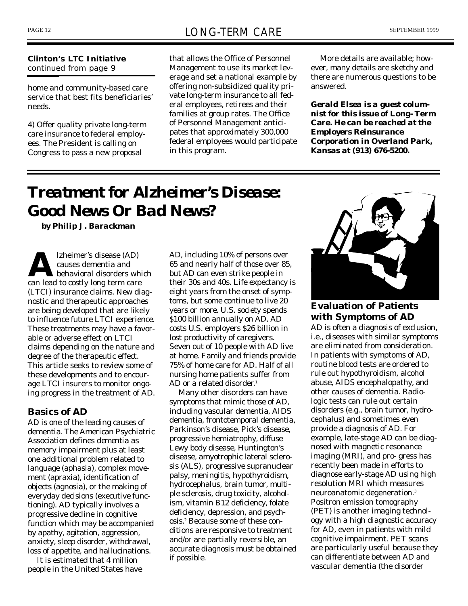#### **Clinton's LTC Initiative** *continued from page 9*

home and community-based care service that best fits beneficiaries' needs.

4) Offer quality private long-term care insurance to federal employees. The President is calling on Congress to pass a new proposal

that allows the Office of Personnel Management to use its market leverage and set a national example by offering non-subsidized quality private long-term insurance to all federal employees, retirees and their families at group rates. The Office of Personnel Management anticipates that approximately 300,000 federal employees would participate in this program.

More details are available; however, many details are sketchy and there are numerous questions to be answered.

*Gerald Elsea is a guest columnist for this issue of* **Long- Term Care.** *He can be reached at the Employers Reinsurance Corporation in Overland Park, Kansas at (913) 676-5200.*

## *Treatment for Alzheimer's Disease: Good News Or Bad News?*

*by Philip J. Barackman*

**A** later lead to costly long term care<br>an lead to costly long term care lzheimer's disease (AD) causes dementia and behavioral disorders which (LTCI) insurance claims. New diagnostic and therapeutic approaches are being developed that are likely to influence future LTCI experience. These treatments may have a favorable or adverse effect on LTCI claims depending on the nature and degree of the therapeutic effect. This article seeks to review some of these developments and to encourage LTCI insurers to monitor ongoing progress in the treatment of AD.

## **Basics of AD**

AD is one of the leading causes of dementia. The American Psychiatric Association defines *dementia* as memory impairment plus at least one additional problem related to language (aphasia), complex movement (apraxia), identification of objects (agnosia), or the making of everyday decisions (executive functioning). AD typically involves a progressive decline in cognitive function which may be accompanied by apathy, agitation, aggression, anxiety, sleep disorder, withdrawal, loss of appetite, and hallucinations.

It is estimated that 4 million people in the United States have AD, including 10% of persons over 65 and nearly half of those over 85, but AD can even strike people in their 30s and 40s. Life expectancy is eight years from the onset of symptoms, but some continue to live 20 years or more. U.S. society spends \$100 billion annually on AD. AD costs U.S. employers \$26 billion in lost productivity of caregivers. Seven out of 10 people with AD live at home. Family and friends provide 75% of home care for AD. Half of all nursing home patients suffer from AD or a related disorder. 1

Many other disorders can have symptoms that mimic those of AD, including vascular dementia, AIDS dementia, frontotemporal dementia, Parkinson's disease, Pick's disease, progressive hemiatrophy, diffuse Lewy body disease, Huntington's disease, amyotrophic lateral sclerosis (ALS), progressive supranuclear palsy, meningitis, hypothyroidism, hydrocephalus, brain tumor, multiple sclerosis, drug toxicity, alcoholism, vitamin B12 deficiency, folate deficiency, depression, and psychosis. <sup>2</sup> Because some of these conditions are responsive to treatment and/or are partially reversible, an accurate diagnosis must be obtained if possible.



## **Evaluation of Patients with Symptoms of AD**

AD is often a diagnosis of exclusion, i.e., diseases with similar symptoms are eliminated from consideration. In patients with symptoms of AD, routine blood tests are ordered to rule out hypothyroidism, alcohol abuse, AIDS encephalopathy, and other causes of dementia. Radiologic tests can rule out certain disorders (e.g., brain tumor, hydrocephalus) and sometimes even provide a diagnosis of AD. For example, late-stage AD can be diagnosed with magnetic resonance imaging (MRI), and pro- gress has recently been made in efforts to diagnose early-stage AD using high resolution MRI which measures neuroanatomic degeneration. 3 Positron emission tomography (PET) is another imaging technology with a high diagnostic accuracy for AD, even in patients with mild cognitive impairment. PET scans are particularly useful because they can differentiate between AD and vascular dementia (the disorder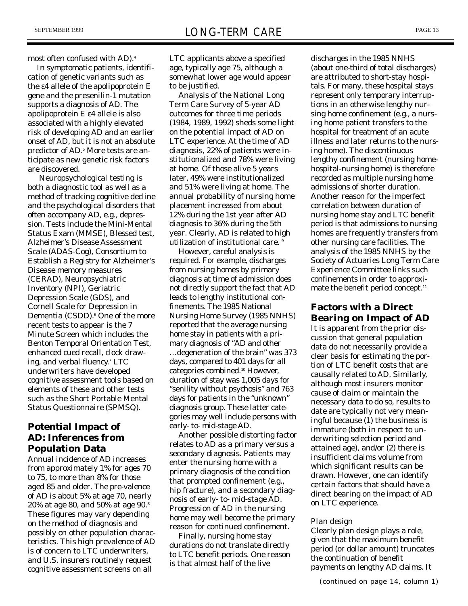most often confused with AD). 4

In symptomatic patients, identification of genetic variants such as the ε4 allele of the apolipoprotein E gene and the presenilin-1 mutation supports a diagnosis of AD. The apolipoprotein E ε4 allele is also associated with a highly elevated risk of developing AD and an earlier onset of AD, but it is not an absolute predictor of AD. <sup>5</sup> More tests are anticipate as new genetic risk factors are discovered.

Neuropsychological testing is both a diagnostic tool as well as a method of tracking cognitive decline and the psychological disorders that often accompany AD, e.g., depression. Tests include the Mini-Mental Status Exam (MMSE), Blessed test, Alzheimer's Disease Assessment Scale (ADAS-Cog), Consortium to Establish a Registry for Alzheimer's Disease memory measures (CERAD), Neuropsychiatric Inventory (NPI), Geriatric Depression Scale (GDS), and Cornell Scale for Depression in Dementia (CSDD). <sup>6</sup> One of the more recent tests to appear is the 7 Minute Screen which includes the Benton Temporal Orientation Test, enhanced cued recall, clock drawing, and verbal fluency. <sup>7</sup> LTC underwriters have developed cognitive assessment tools based on elements of these and other tests such as the Short Portable Mental Status Questionnaire (SPMSQ).

## **Potential Impact of AD: Inferences from Population Data**

Annual incidence of AD increases from approximately 1% for ages 70 to 75, to more than 8% for those aged 85 and older. The pre-valence of AD is about 5% at age 70, nearly 20% at age 80, and 50% at age 90. 8 These figures may vary depending on the method of diagnosis and possibly on other population characteristics. This high prevalence of AD is of concern to LTC underwriters, and U.S. insurers routinely request cognitive assessment screens on all

LTC applicants above a specified age, typically age 75, although a somewhat lower age would appear to be justified.

Analysis of the National Long Term Care Survey of 5-year AD outcomes for three time periods (1984, 1989, 1992) sheds some light on the potential impact of AD on LTC experience. At the time of AD diagnosis, 22% of patients were institutionalized and 78% were living at home. Of those alive 5 years later, 49% were institutionalized and 51% were living at home. The annual probability of nursing home placement increased from about 12% during the 1st year after AD diagnosis to 36% during the 5th year. Clearly, AD is related to high utilization of institutional care.

However, careful analysis is required. For example, discharges from nursing homes by primary diagnosis at time of admission does not directly support the fact that AD leads to lengthy institutional confinements. The 1985 National Nursing Home Survey (1985 NNHS) reported that the average nursing home stay in patients with a primary diagnosis of "AD and other

…degeneration of the brain" was 373 days, compared to 401 days for all categories combined. <sup>10</sup> However, duration of stay was 1,005 days for "senility without psychosis" and 763 days for patients in the "unknown" diagnosis group. These latter categories may well include persons with early- to- mid-stage AD.

Another possible distorting factor relates to AD as a primary versus a secondary diagnosis. Patients may enter the nursing home with a primary diagnosis of the condition that prompted confinement (e.g., hip fracture), and a secondary diagnosis of early- to- mid-stage AD. Progression of AD in the nursing home may well become the primary reason for continued confinement.

Finally, nursing home stay durations do not translate directly to LTC benefit periods. One reason is that almost half of the live

discharges in the 1985 NNHS (about one-third of total discharges) are attributed to short-stay hospitals. For many, these hospital stays represent only temporary interruptions in an otherwise lengthy nursing home confinement (e.g., a nursing home patient transfers to the hospital for treatment of an acute illness and later returns to the nursing home). The discontinuous lengthy confinement (nursing homehospital-nursing home) is therefore recorded as multiple nursing home admissions of shorter duration. Another reason for the imperfect correlation between duration of nursing home stay and LTC benefit period is that admissions to nursing homes are frequently transfers from other nursing care facilities. The analysis of the 1985 NNHS by the Society of Actuaries Long Term Care Experience Committee links such confinements in order to approximate the benefit period concept.<sup>11</sup>

## **Factors with a Direct Bearing on Impact of AD**

It is apparent from the prior discussion that general population data do not necessarily provide a clear basis for estimating the portion of LTC benefit costs that are causally related to AD. Similarly, although most insurers monitor cause of claim or maintain the necessary data to do so, results to date are typically not very meaningful because (1) the business is immature (both in respect to underwriting selection period and attained age), and/or (2) there is insufficient claims volume from which significant results can be drawn. However, one can identify certain factors that should have a direct bearing on the impact of AD on LTC experience.

#### *Plan design*

Clearly plan design plays a role, given that the maximum benefit period (or dollar amount) truncates the continuation of benefit payments on lengthy AD claims. It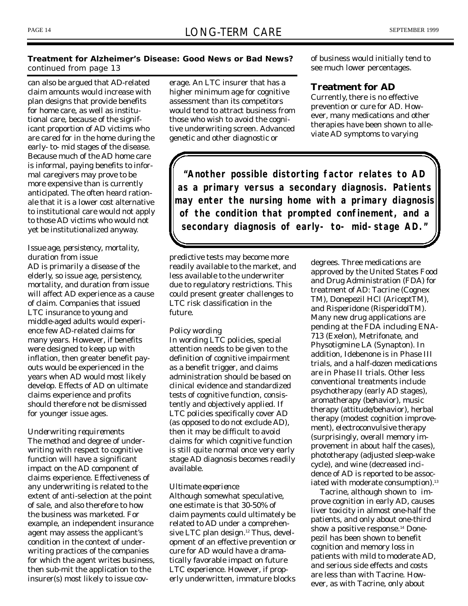### **Treatment for Alzheimer's Disease: Good News or Bad News?** *continued from page 13*

can also be argued that AD-related claim amounts would increase with plan designs that provide benefits for home care, as well as institutional care, because of the significant proportion of AD victims who are cared for in the home during the early- to- mid stages of the disease. Because much of the AD home care is informal, paying benefits to informal caregivers may prove to be more expensive than is currently anticipated. The often heard rationale that it is a lower cost alternative to institutional care would not apply to those AD victims who would not yet be institutionalized anyway.

### *Issue age, persistency, mortality, duration from issue*

AD is primarily a disease of the elderly, so issue age, persistency, mortality, and duration from issue will affect AD experience as a cause of claim. Companies that issued LTC insurance to young and middle-aged adults would experience few AD-related claims for many years. However, if benefits were designed to keep up with inflation, then greater benefit payouts would be experienced in the years when AD would most likely develop. Effects of AD on ultimate claims experience and profits should therefore not be dismissed for younger issue ages.

### *Underwriting requirements*

The method and degree of underwriting with respect to cognitive function will have a significant impact on the AD component of claims experience. Effectiveness of any underwriting is related to the extent of anti-selection at the point of sale, and also therefore to how the business was marketed. For example, an independent insurance agent may assess the applicant's condition in the context of underwriting practices of the companies for which the agent writes business, then sub-mit the application to the insurer(s) most likely to issue cov-

erage. An LTC insurer that has a higher minimum age for cognitive assessment than its competitors would tend to attract business from those who wish to avoid the cognitive underwriting screen. Advanced genetic and other diagnostic or

of business would initially tend to see much lower percentages.

## **Treatment for AD**

Currently, there is no effective prevention or cure for AD. However, many medications and other therapies have been shown to alleviate AD symptoms to varying

*"Another possible distorting factor relates to AD as a primary versus a secondary diagnosis. Patients may enter the nursing home with a primary diagnosis of the condition that prompted confinement, and a secondary diagnosis of early- to- mid-stage AD."*

predictive tests may become more readily available to the market, and less available to the underwriter due to regulatory restrictions. This could present greater challenges to LTC risk classification in the future.

#### *Policy wording*

In wording LTC policies, special attention needs to be given to the definition of cognitive impairment as a benefit trigger, and claims administration should be based on clinical evidence and standardized tests of cognitive function, consistently and objectively applied. If LTC policies specifically cover AD (as opposed to do not exclude AD), then it may be difficult to avoid claims for which cognitive function is still quite normal once very early stage AD diagnosis becomes readily available.

#### *Ultimate experience*

Although somewhat speculative, one estimate is that 30-50% of claim payments could ultimately be related to AD under a comprehensive LTC plan design. <sup>12</sup> Thus, development of an effective prevention or cure for AD would have a dramatically favorable impact on future LTC experience. However, if properly underwritten, immature blocks

degrees. Three medications are approved by the United States Food and Drug Administration (FDA) for treatment of AD: Tacrine (Cognex TM), Donepezil HCl (AriceptTM), and Risperidone (RisperidolTM). Many new drug applications are pending at the FDA including ENA-713 (Exelon), Metrifonate, and Physotigmine LA (Synapton). In addition, Idebenone is in Phase III trials, and a half-dozen medications are in Phase II trials. Other less conventional treatments include psychotherapy (early AD stages), aromatherapy (behavior), music therapy (attitude/behavior), herbal therapy (modest cognition improvement), electroconvulsive therapy (surprisingly, overall memory improvement in about half the cases), phototherapy (adjusted sleep-wake cycle), and wine (decreased incidence of AD is reported to be associated with moderate consumption). 13

Tacrine, although shown to improve cognition in early AD, causes liver toxicity in almost one-half the patients, and only about one-third show a positive response. <sup>14</sup> Donepezil has been shown to benefit cognition and memory loss in patients with mild to moderate AD, and serious side effects and costs are less than with Tacrine. However, as with Tacrine, only about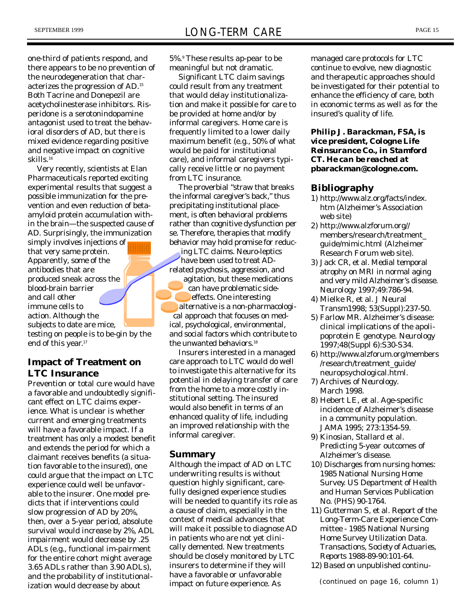one-third of patients respond, and there appears to be no prevention of the neurodegeneration that characterizes the progression of AD. 15 Both Tacrine and Donepezil are acetycholinesterase inhibitors. Risperidone is a serotonindopamine antagonist used to treat the behavioral disorders of AD, but there is mixed evidence regarding positive and negative impact on cognitive skills. 16

Very recently, scientists at Elan Pharmaceuticals reported exciting experimental results that suggest a possible immunization for the prevention and even reduction of betaamyloid protein accumulation within the brain—the suspected cause of AD. Surprisingly, the immunization

simply involves injections of that very same protein. Apparently, some of the antibodies that are produced sneak across the blood-brain barrier and call other immune cells to action. Although the subjects to date are mice, testing on people is to be-gin by the end of this year. 17

## **Impact of Treatment on LTC Insurance**

Prevention or total cure would have a favorable and undoubtedly significant effect on LTC claims experience. What is unclear is whether current and emerging treatments will have a favorable impact. If a treatment has only a modest benefit and extends the period for which a claimant receives benefits (a situation favorable to the insured), one could argue that the impact on LTC experience could well be unfavorable to the insurer. One model predicts that if interventions could slow progression of AD by 20%, then, over a 5-year period, absolute survival would increase by 2%, ADL impairment would decrease by .25 ADLs (e.g., functional im-pairment for the entire cohort might average 3.65 ADLs rather than 3.90 ADLs), and the probability of institutionalization would decrease by about

5%. <sup>9</sup> These results ap-pear to be meaningful but not dramatic.

Significant LTC claim savings could result from any treatment that would delay institutionalization and make it possible for care to be provided at home and/or by informal caregivers. Home care is frequently limited to a lower daily maximum benefit (e.g., 50% of what would be paid for institutional care), and informal caregivers typically receive little or no payment from LTC insurance.

The proverbial "straw that breaks the informal caregiver's back," thus precipitating institutional placement, is often behavioral problems rather than cognitive dysfunction per se. Therefore, therapies that modify behavior may hold promise for reduc-

ing LTC claims. Neuro-leptics have been used to treat ADrelated psychosis, aggression, and agitation, but these medications can have problematic sideeffects. One interesting alternative is a non-pharmacological approach that focuses on medical, psychological, environmental, and social factors which contribute to the unwanted behaviors. 18

Insurers interested in a managed care approach to LTC would do well to investigate this alternative for its potential in delaying transfer of care from the home to a more costly institutional setting. The insured would also benefit in terms of an enhanced quality of life, including an improved relationship with the informal caregiver.

### **Summary**

Although the impact of AD on LTC underwriting results is without question highly significant, carefully designed experience studies will be needed to quantify its role as a cause of claim, especially in the context of medical advances that will make it possible to diagnose AD in patients who are not yet clinically demented. New treatments should be closely monitored by LTC insurers to determine if they will have a favorable or unfavorable impact on future experience. As

managed care protocols for LTC continue to evolve, new diagnostic and therapeutic approaches should be investigated for their potential to enhance the efficiency of care, both in economic terms as well as for the insured's quality of life.

*Philip J. Barackman, FSA, is vice president, Cologne Life Reinsurance Co., in Stamford CT. He can be reached at* **pbarackman@cologne.com.**

## **Bibliography**

- 1) http://www.alz.org/facts/index. htm (Alzheimer's Association web site)
- 2) http://www.alzforum.org// members/research/treatment\_ guide/mimic.html (Alzheimer Research Forum web site).
- 3) Jack CR, et al. Medial temporal atrophy on MRI in normal aging and very mild Alzheimer's disease. *Neurology* 1997;49:786-94.
- 4) Mielke R, et al. J Neural Transm1998; 53(Suppl):237-50.
- 5) Farlow MR. Alzheimer's disease: clinical implications of the apolipoprotein E genotype. *Neurology* 1997;48(Suppl 6):S30-S34.
- 6) http://www.alzforum.org/members /research/treatment\_guide/ neuropsychological.html.
- 7) Archives of *Neurology.* March 1998.
- 8) Hebert LE, et al. Age-specific incidence of Alzheimer's disease in a community population. *JAMA* 1995; 273:1354-59.
- 9) Kinosian, Stallard et al. Predicting 5-year outcomes of Alzheimer's disease.
- 10) Discharges from nursing homes: 1985 National Nursing Home Survey. US Department of Health and Human Services Publication No. (PHS) 90-1764.
- 11) Gutterman S, et al. Report of the Long-Term-Care Experience Committee - 1985 National Nursing Home Survey Utilization Data. *Transactions, Society of Actuaries, Reports* 1988-89-90:101-64.
- 12) Based on unpublished continu-

*(continued on page 16, column 1)*